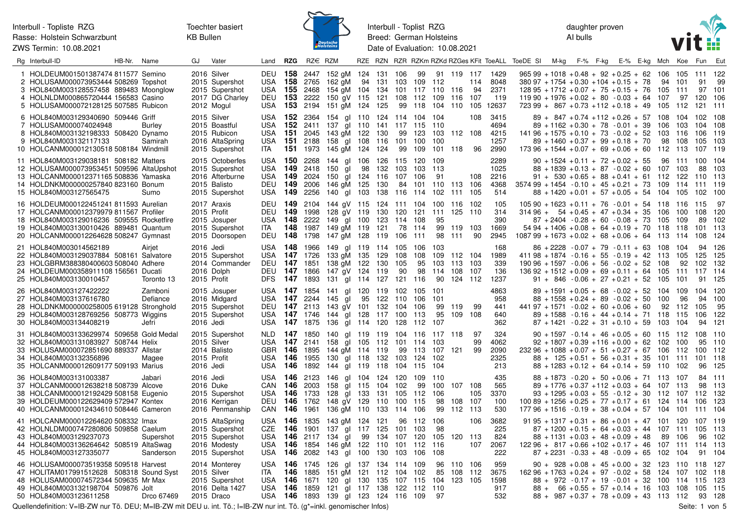Toechter basiert KB Bullen



Interbull - Toplist RZG Breed: German Holsteins Date of Evaluation: 10.08.2021

daughter proven AI bulls



| Rg Interbull-ID                                                                                                                                                                                                | HB-Nr. | Name                         | GJ        | Vater                                                                                  | Land                                         | RZG | $RZ\in RZM$                  |                                                                                                                                                                                                                |    |                    |                   |                            |                                           |                |                                                         | RZE RZN RZR RZKm RZKd RZGes KFit ToeALL ToeDE SI M-kg F-% F-kg E-% E-kg Mch                                                                                                                                                                   |                                                                                                                                                                                                             |  |           | Koe                                    | Fun                                               | Eut                              |
|----------------------------------------------------------------------------------------------------------------------------------------------------------------------------------------------------------------|--------|------------------------------|-----------|----------------------------------------------------------------------------------------|----------------------------------------------|-----|------------------------------|----------------------------------------------------------------------------------------------------------------------------------------------------------------------------------------------------------------|----|--------------------|-------------------|----------------------------|-------------------------------------------|----------------|---------------------------------------------------------|-----------------------------------------------------------------------------------------------------------------------------------------------------------------------------------------------------------------------------------------------|-------------------------------------------------------------------------------------------------------------------------------------------------------------------------------------------------------------|--|-----------|----------------------------------------|---------------------------------------------------|----------------------------------|
| 1 HOLDEUM001501387474 811577 Semino<br>2 HOLUSAM000073953444 508269 Topshot<br>3 HOL840M003128557458 889483 Moonglow<br>4 HOLNLDM000865720444 156583 Casino<br>5 HOLUSAM000072128125 507585 Rubicon            |        |                              |           | 2016 Silver<br>2015 Supershot<br>2015 Supershot<br>2017 DG Charley<br>2012 Mogul       | USA<br>DEU                                   |     |                              | DEU 158 2447 152 gM 124 131 106<br>USA 158 2765 162 gM<br><b>155</b> 2468 154 gM 104 134 101 117 110 116<br><b>153</b> 2222 150 gV 115 121 108 112 109<br>USA 153 2194 151 gM 124 125                          |    | 94 131 103 109 112 |                   |                            | 99 91 119 117<br>116 107                  | 114<br>94      | 1429<br>8048<br>2371<br>119<br>99 118 104 110 105 12637 | $96599 + 1018 + 0.48 + 92 + 0.25 + 62$ 106<br>$380\,97 + 1754 + 0.30 + 104 + 0.15 + 78$<br>$12895 + 1712 + 0.07 + 75 + 0.15 + 76$ 105<br>$11990 + 1976 + 0.02 + 80 - 0.03 + 64$ 107<br>$72399 + 867 + 0.73 + 112 + 0.18 + 49$ 105 112 121 111 |                                                                                                                                                                                                             |  | 94 101    | 105 111 122<br>-111<br>97              | 91<br>97 101<br>120 106                           | 99                               |
| 6 HOL840M003129340690 509446 Griff<br>7 HOLUSAM000074024948<br>8 HOL840M003132198333 508420 Dynamo<br>9 HOL840M003132117133<br>10 HOLCANM000012130518 508184 Windmill                                          |        | Burley<br>Samirah            |           | 2015 Silver<br>2015 Boastful<br>2015 Rubicon<br>2016 AltaSpring<br>2015 Supershot      | USA<br><b>USA</b><br>USA<br>USA<br>ITA       | 151 |                              | 152 2364 154 gl 110 124 114 104 104<br><b>152</b> 2411 137 gl 110 141 117 115 110<br>2045 143 gM 122 130<br><b>151</b> 2188 158 gl 108 116 101 100 100<br><b>151</b> 1973 145 gM 124 124                       |    | 99                 | 109               |                            | 99 123 103 112 108<br>101 118             | 108<br>96      | 3415<br>4694<br>4215<br>1257<br>2990                    | $14196 + 1575 + 0.10 + 73 - 0.02 + 52$ 103 116 106 119<br>$17396 + 1544 + 0.07 + 69 + 0.06 + 60$ 112                                                                                                                                          | $89 + 847 + 0.74 + 112 + 0.26 + 57$ 108<br>$89 + 1162 + 0.30 + 78 - 0.01 + 39$<br>$89 + 1460 + 0.37 + 99 + 0.18 + 70$                                                                                       |  | 106<br>98 | 104 102<br>103<br>108<br>- 113         | 104<br>105<br>107 119                             | 108<br>108<br>103                |
| 11 HOL840M003129038181 508182 Matters<br>12 HOLUSAM000073953451 509596 AltaUpshot<br>13 HOLCANM000012371165 508836 Yamaska<br>14 HOLDNKM000000257840 823160 Bonum<br>15 HOL840M003127565475                    |        | Sumo                         |           | 2015 Octoberfes<br>2015 Supershot<br>2016 Afterburne<br>2015 Balisto<br>2015 Supershot | USA 150 2268<br>DEU                          |     |                              | 144 gl 106 126 115 120 109<br>USA 149 2418 150 gl<br>USA 149 2024 150 gl 124 116 107 106<br>149 2006 146 gM 125 130<br>USA 149 2256 140 gl 103 138 116 114                                                     | 98 | 132 103 103 113    | 84 101            | 91<br>110<br>102           | 113 106<br>111 105                        | 108            | 2289<br>1025<br>2216<br>4368<br>514                     | $357499 + 1454 - 0.10 + 45 + 0.21 + 73$ 109                                                                                                                                                                                                   | $90 + 1524 + 0.11 + 72 + 0.02 + 55$<br>$88 + 1839 + 0.13 + 87 - 0.02 + 60$ 107 103<br>$91 + 530 + 0.65 + 88 + 0.41 + 61$ 112 122 110 113<br>$88 + 1420 + 0.01 + 57 + 0.05 + 54$ 104 105                     |  |           | 96 111 100 104<br>- 114                | 88 103<br>-111<br>102                             | 119<br>100                       |
| 16 HOLDEUM000122451241 811593 Aurelian<br>17 HOLCANM000012379979 811567 Profiler<br>18 HOL840M003129016236 509555 Rocketfire<br>19 HOL840M003130010426 889481 Quantum<br>20 HOLCANM000012264628 508247 Gymnast |        |                              |           | 2017 Araxis<br>2015 Profit<br>2015 Josuper<br>2015 Supershot<br>2015 Doorsopen         | DEU<br>USA<br>ITA.                           |     |                              | DEU 149 2104 144 gV 115 124 111 104 100 116 102<br><b>149</b> 1998 128 aV 119<br><b>148</b> 2222 149 gl 100 123<br><b>148</b> 1987 149 gM 119 121<br>DEU 148 1798 147 gM 128 119 106 111                       |    | 114 108<br>78      | 114               | 95<br>99<br>98             | 130 120 121 111 125 110<br>119 103<br>111 | 90             | 105<br>314<br>390<br>1669<br>2945                       | $10590 + 1623 + 0.11 + 76 - 0.01 + 54$ 118 116<br>$31496 + 54 + 0.45 + 47 + 0.34 + 35$ 106<br>$108799 + 1673 + 0.02 + 68 + 0.06 + 64$ 113 114                                                                                                 | $87 + 2404 - 0.28 + 60 - 0.08 + 73$ 105<br>$5494 + 1406 + 0.08 + 64 + 0.19 + 70$ 118                                                                                                                        |  |           | 100<br>109<br>-118                     | - 115<br>108 120<br>89<br>101<br>108 124          | 97<br>102<br>- 113               |
| 21 HOL840M003014562189<br>22 HOL840M003129037884 508161 Salvatore<br>23 HOLGBRM388380400603 508040 Adhere<br>24 HOLDEUM000358911108 156561 Ducati<br>25 HOL840M003130010457                                    |        | Airjet<br>Toronto 13         | 2016 Jedi | 2015 Supershot<br>2014 Commander<br>2016 Dolph<br>2015 Profit                          | USA 147 1726<br><b>DEU 147</b><br><b>DFS</b> | 147 | USA 148 1966<br>1851<br>1893 | 149 gl 119 114 105 106 103<br>133 gM 135 129 108<br>138 gM 122 130<br>DEU 147 1866 147 gV 124 119<br>131 gl 114 127 121 116                                                                                    |    | 105<br>90          | 108<br>95         | 109<br>103<br>98 114<br>90 | 112 104<br>113 103<br>108 107<br>124 112  |                | 168<br>1989<br>339<br>136<br>1237                       | $41198 + 1874 - 0.16 + 55 - 0.19 + 42$ 113<br>$190\,96 + 1597 - 0.06 + 56 - 0.02 + 52$ 108<br>$13692 + 1512 + 0.09 + 69 + 0.11 + 64$ 105                                                                                                      | $86 + 2228 - 0.07 + 79 - 0.11 + 63$ 108<br>$91 + 846 - 0.06 + 27 + 0.21 + 52$ 105                                                                                                                           |  |           | 104<br>105<br>92<br>111 117 114<br>101 | 94 126<br>125<br>102 132<br>91 125                | 125                              |
| 26 HOL840M003127422222<br>27 HOL840M003137616780<br>28 HOLDNKM000000258005 619128 Stronghold<br>29 HOL840M003128769256 508773 Wiggins<br>30 HOL840M003134408219                                                |        | Zamboni<br>Defiance<br>Jefri | 2016 Jedi | 2015 Josuper<br>2016 Midgard<br>2015 Supershot<br>2015 Supershot                       | USA 147                                      |     |                              | USA 147 1854 141 gl 120 119 102 105 101<br>2244 145 gl<br>DEU 147 2113 143 gV 101 132 104 106<br>USA 147 1746 144 gl 128 117 100 113<br>USA 147 1875 136 gl 114 120 128 112 107                                |    | 95 122 110 106     |                   | -101<br>99<br>95           | 119<br>109 108                            | 99             | 4863<br>958<br>441<br>640<br>362                        | $44197 + 1571 - 0.02 + 60 + 0.06 + 60$                                                                                                                                                                                                        | $89 + 1591 + 0.05 + 68 - 0.02 + 52$ 104 109<br>$88 + 1558 + 0.24 + 89 - 0.02 + 50$<br>$89 + 1588 - 0.16 + 44 + 0.14 + 71$ 118<br>$87 + 1421 - 0.22 + 31 + 0.10 + 59$ 103                                    |  | 100<br>92 | 96<br>112 105<br>115<br>-104           | 104<br>94<br>106<br>94                            | - 120<br>100<br>95<br>122<br>121 |
| 31 HOL840M003133629974 509658 Gold Medal<br>32 HOL840M003131083927 508744 Helix<br>33 HOLUSAM000072851690 889337 Allstar<br>34 HOL840M003132356896<br>35 HOLCANM000012609177 509193 Marius                     |        | Magee                        | 2016 Jedi | 2015 Supershot<br>2015 Silver<br>2014 Balisto<br>2015 Profit                           | GBR                                          |     |                              | NLD 147 1850 140 gl 119 119 104 116 117 118<br>USA 147 2141 158 gl 105 112 101 114 103<br><b>146</b> 1895 144 gM 114 119<br>USA 146 1955 130 gl 118 132 103 124 102<br>USA 146 1892 144 gl 119 118 104 115 104 |    |                    | 99 113 107        |                            | 121                                       | 97<br>99<br>99 | 324<br>4062<br>2090<br>2325<br>213                      | $23296 + 1088 + 0.07 + 51 + 0.27 + 67$ 106                                                                                                                                                                                                    | $90 + 1597 - 0.14 + 46 + 0.05 + 60$ 115 112<br>$92 + 1807 + 0.39 + 116 + 0.00 + 62$ 102<br>$88 + 125 + 0.51 + 56 + 0.31 + 35$ 101 111<br>$88 + 1283 + 0.12 + 64 + 0.14 + 59$ 110 102                        |  |           | 100<br>112                             | 108 110<br>95 110<br>100 112<br>101 118<br>96 125 |                                  |
| 36 HOL840M003131003387<br>37 HOLCANM000012638218 508739 Alcove<br>38 HOLCANM000012192429 508158 Eugenio<br>39 HOLDEUM000122629409 572947 Kontex<br>40 HOLCANM000012434610 508446 Cameron                       |        | Jabari                       | 2016 Jedi | 2016 Duke<br>2015 Supershot<br>2016 Kerrigan<br>2016 Penmanship                        | CAN<br>CAN                                   |     | <b>146</b> 2003              | USA 146 2123 146 gl 104 124 120 109 110<br>158 gl 115 104 102<br>USA 146 1733 128 gl 133 131 105<br>DEU 146 1762 148 gV 129 110 100 115<br><b>146</b> 1961 136 gM 110 133 114 106                              |    |                    | 99<br>112 106     | 100<br>98<br>99            | 107 108<br>108<br>112 113                 | 105<br>107     | 435<br>565<br>3370<br>100<br>530                        | $10089 + 1256 + 0.25 + 77 + 0.17 + 61$ 124 114 106<br>$17796 + 1516 - 0.19 + 38 + 0.04 + 57$ 104 101 111                                                                                                                                      | $88 + 1873 - 0.20 + 50 + 0.06 + 71$ 113 107<br>$89 + 1776 + 0.37 + 112 + 0.03 + 64$ 107 113<br>$93 + 1295 + 0.03 + 55 - 0.12 + 30$ 112                                                                      |  |           | 107                                    | 84 111<br>98 113<br>112 132                       | 123<br>- 104                     |
| 41 HOLCANM000012264620 508332 Imax<br>42 HOLNLDM000747280806 509858 Caelum<br>43 HOL840M003129237073<br>44 HOL840M003136264642 508519 AltaSwag<br>45 HOL840M003127335077                                       |        | Supershot<br>Sanderson       |           | 2015 AltaSpring<br>2015 Supershot<br>2015 Supershot<br>2016 Modesty<br>2015 Supershot  | CZE 146                                      |     |                              | USA 146 1835 143 gM 124 121<br>1901 137 gl 117 125 101<br>USA 146 2117 134 gl<br>USA 146 1854 146 gM 122 110 101 112 116<br>USA 146 2082 143 gl 100 130 103 106                                                |    | 99 134 107 120     | 96 112 106<br>103 | 98<br>105<br>108           | 120 113                                   | 106<br>107     | 3682<br>225<br>824<br>2067<br>222                       | $12296 + 817 + 0.66 + 102 + 0.17 + 46$ 107 111 114 113                                                                                                                                                                                        | $91\,95 + 1317 + 0.31 + 86 + 0.01 + 47$ 101 120 107 119<br>$87 + 1200 + 0.15 + 64 + 0.03 + 44$ 107 111<br>$88 + 1131 + 0.03 + 48 + 0.09 + 48$<br>$87 + 2231 - 0.33 + 48 - 0.09 + 65$ 102                    |  | 89        | 106<br>104                             | 105 113<br>96.<br>91                              | 102<br>104                       |
| 46 HOLUSAM000073519358 509518 Harvest<br>47 HOLITAM017991512628 508318 Sound Syst<br>48 HOLUSAM000074572344 509635 Mr Max<br>49 HOL840M003132198704 509876 Jolt<br>50 HOL840M003123611258                      |        | Drco 67469                   |           | 2014 Monterey<br>2015 Silver<br>2015 Supershot<br>2016 Delta 1427<br>2015 Draco        | ITA<br>USA                                   |     | <b>146</b> 1885              | USA 146 1745 126 gl 137 134 114 109<br>151 gM 121 112 104 102<br><b>146</b> 1671 120 gl 130 135 107 115 104 123 105<br>USA 146 1859 121 gl 117 138 122 112 110<br>USA 146 1893 139 gl 123 124 116 109          |    |                    |                   | 96<br>85<br>97             | 110 106<br>108 112                        |                | 959<br>3675<br>1598<br>917<br>532                       | $16296 + 1763 + 0.24 + 97 - 0.02 + 58$                                                                                                                                                                                                        | $90 + 928 + 0.08 + 45 + 0.00 + 32$ 123 110 118 127<br>$88 + 972 - 0.17 + 19 - 0.01 + 32$ 100 114 115 123<br>$88 + 66 + 0.55 + 57 + 0.14 + 16$ 103 108 105 115<br>$88 + 987 + 0.37 + 78 + 0.09 + 43$ 113 112 |  |           | 124 107 102 118                        | 93 128                                            |                                  |

Quellendefinition: V=IB-ZW nur Tö. DEU; M=IB-ZW mit DEU u. int. Tö.; I=IB-ZW nur int. Tö. (g\*=inkl. genomischer Infos) Seite: 1 von 5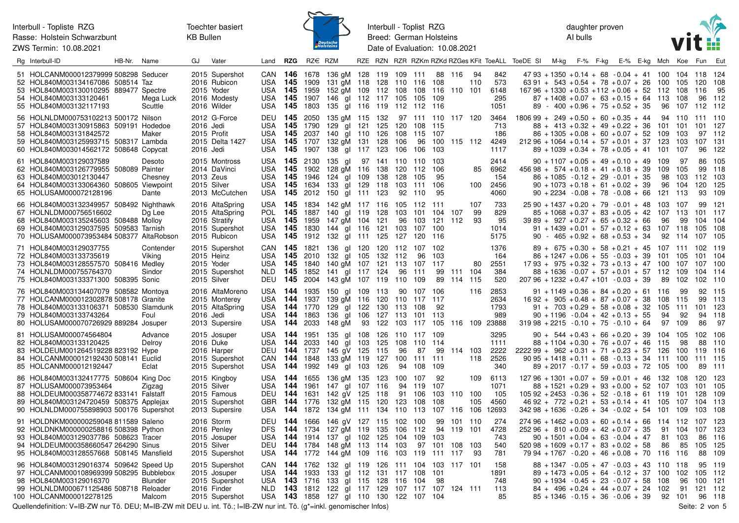Interbull - Topliste RZG Rasse: Holstein Schwarzbunt

ZWS Termin: 10.08.2021



Interbull - Toplist RZG Breed: German Holsteins Date of Evaluation: 10.08.2021

daughter proven Al bulls



| Rg Interbull-ID                                                                                                                                                                                        | HB-Nr. | Name                          | GJ                     | Vater                                                                                 | Land                                            | RZG                                                | $RZ \in RZM$                                                          |                                                                                                                                              |    |                                 |                                   |                                            |                               |                                      |                  |                                              | RZE RZN RZR RZKm RZKd RZGes KFit ToeALL ToeDE SI                                                                                                                                               | M-kg | F-% F-kg                                                                                                                                                                                                           |  | E-% E-kg Mch Koe |                     |                             | Fun                                      | Eut                                |
|--------------------------------------------------------------------------------------------------------------------------------------------------------------------------------------------------------|--------|-------------------------------|------------------------|---------------------------------------------------------------------------------------|-------------------------------------------------|----------------------------------------------------|-----------------------------------------------------------------------|----------------------------------------------------------------------------------------------------------------------------------------------|----|---------------------------------|-----------------------------------|--------------------------------------------|-------------------------------|--------------------------------------|------------------|----------------------------------------------|------------------------------------------------------------------------------------------------------------------------------------------------------------------------------------------------|------|--------------------------------------------------------------------------------------------------------------------------------------------------------------------------------------------------------------------|--|------------------|---------------------|-----------------------------|------------------------------------------|------------------------------------|
| 51 HOLCANM000012379999 508298 Seducer<br>52 HOL840M003134167086 508514 Taz<br>53 HOL840M003130010295 889477 Spectre<br>54 HOL840M003133120461<br>55 HOL840M003132117193                                |        | Mega Luck<br>Scuttle          |                        | 2015 Supershot<br>2016 Rubicon<br>2015 Yoder<br>2016 Modesty<br>2016 Wilder           | USA <b>145</b><br>USA <b>145</b><br>USA<br>USA  | <b>145</b> 1907                                    | 1909<br>1959<br><b>145</b> 1803                                       | CAN 146 1678 136 gM 128 119<br>131 gM 118 128<br>152 gM 109 112<br>146 gl 112 117 105 105<br>135 gl 116 119                                  |    |                                 | 109 111<br>108                    | 110 116 108<br>108<br>112 112 116          | 116<br>109                    | 88 116<br>110 101                    | -94<br>110       | 842<br>573<br>6148<br>295<br>1051            | $16796 + 1330 + 0.53 + 112 + 0.06 + 52$ 112 108                                                                                                                                                |      | $4793 + 1350 + 0.14 + 68 - 0.04 + 41$ 100 104 118<br>$63\,91 + 543 + 0.54 + 78 + 0.07 + 26$ 100 105<br>$87 + 1408 + 0.07 + 63 + 0.15 + 64$ 113 108<br>$89 - 400 + 0.96 + 75 + 0.52 + 35$                           |  |                  |                     | 96 107 112                  | 120<br>116<br>96                         | -124<br>108<br>- 95<br>112<br>112  |
| 56 HOLNLDM000753102213 500172 Nilson<br>57 HOL840M003130915863 509191 Hodedoe<br>58 HOL840M003131842572<br>59 HOL840M003125993715 508317 Lambda<br>60 HOL840M003014562172 508648 Copycat               |        | Maker                         | 2016 Jedi<br>2016 Jedi | 2012 G-Force<br>2015 Profit<br>2015 Delta 1427                                        | DEU 145 2050<br>USA<br>USA<br>USA<br>USA        | 145<br><b>145</b> 2037                             | 1790                                                                  | 135 gM 115 132<br>129 gl 121<br>140 gl 110<br><b>145</b> 1707 132 gM 131 128<br><b>145</b> 1907 138 gl 117 123                               |    | 125<br>126                      | 120<br>108<br>106<br>106          | 108 115<br>115<br>96<br>106                | 107<br>100<br>103             | 97 111 110 117 120<br>115 112        |                  | 3464<br>713<br>186<br>4249<br>1117           | $180699 + 249 + 0.50 + 60 + 0.35 + 44$<br>$21296 + 1064 + 0.14 + 57 + 0.01 + 37$ 123 103                                                                                                       |      | $88 + 413 + 0.32 + 49 + 0.22 + 36$<br>$86 + 1305 + 0.08 + 60 + 0.07 + 52$ 109<br>$89 + 1039 + 0.34 + 78 + 0.05 + 41$ 101 107                                                                                       |  |                  | 101 101             | 103                         | 94 110 111 110<br>101<br>97<br>107<br>96 | 127<br>112<br>- 131<br>-122        |
| 61 HOL840M003129037589<br>62 HOL840M003126779955 508089 Painter<br>63 HOL840M003012130447<br>64 HOL840M003133064360 508605 Viewpoint<br>65 HOLUSAM000072128196                                         |        | Desoto<br>Chesney<br>Dante    |                        | 2015 Montross<br>2014 DaVinci<br>2013 Zeus<br>2015 Silver<br>2013 McCutchen           | USA<br>USA<br>USA<br>USA                        | 145<br>145                                         | USA 145 2130<br><b>145</b> 1902<br>1946<br>1634<br><b>145</b> 2012    | 135 gl<br>128 gM 116<br>124 gl 109 138<br>133 gl 129 118<br>150 gl 111 123                                                                   |    | 97 141 110 110<br>138           | 120 112<br>128<br>103<br>92       | 105<br>111<br>110                          | 103<br>106<br>95<br>106<br>95 |                                      | 85.<br>100       | 2414<br>6962<br>154<br>2456<br>4060          | $45698 + 574 + 0.18 + 41 + 0.18 + 39$                                                                                                                                                          |      | $90 + 1107 + 0.05 + 49 + 0.10 + 49$ 109<br>$86 + 1085 - 0.12 + 29 - 0.01 + 35$<br>$90 + 1073 + 0.18 + 61 + 0.02 + 39$<br>$90 + 2234 - 0.08 + 78 - 0.08 + 66$ 121 113                                               |  |                  | 109<br>98<br>96     | 97<br>- 105<br>- 103<br>104 | 86<br>99<br>112<br>120<br>93             | 105<br>118<br>103<br>125<br>109    |
| 66 HOL840M003132349957 508492 Nighthawk<br>67 HOLNLDM000756516602<br>68 HOL840M003135245603 508488 Molloy<br>69 HOL840M003129037595 509583 Tarnish<br>70 HOLUSAM000073953484 508377 AltaRobson         |        | Dg Lee                        |                        | 2016 AltaSpring<br>2015 AltaSpring<br>2016 Stratify<br>2015 Supershot<br>2015 Rubicon | POL<br>USA<br>USA.                              | 145<br>145<br>145                                  | 1887<br>1959<br>1830                                                  | USA 145 1834 142 gM 117 116<br>140 gl 119 128<br>147 gM 104 121<br>144 gl 116<br>USA 145 1912 132 gl 111 125 127 120 116                     |    | 121                             | 103<br>96<br>103                  | 105 112 111<br>101<br>103<br>107           | 104<br>121<br>100             | 107<br>112                           | 107<br>99<br>93. | 733<br>829<br>95<br>1014<br>5175             | $3989 + 927 + 0.27 + 65 + 0.32 + 66$                                                                                                                                                           |      | $2590 + 1437 + 0.20 + 79 - 0.01 + 48$ 103 107<br>$85 + 1068 + 0.37 + 83 + 0.05 + 42$ 107 113<br>$91 + 1439 + 0.01 + 57 + 0.12 + 63$ 107 118<br>$90 - 465 + 0.92 + 68 + 0.53 + 34$                                  |  |                  | 96                  | 99<br>92 114 107            | 99<br>101<br>104<br>105                  | 121<br>117<br>104<br>108<br>105    |
| 71 HOL840M003129037755<br>72 HOL840M003133735619<br>73 HOL840M003128557570 508416 Medley<br>74 HOLNLDM000755764370<br>75 HOL840M003133371300 508395 Sonic                                              |        | Contender<br>Viking<br>Sindor |                        | 2015 Supershot<br>2015 Heinz<br>2015 Yoder<br>2015 Supershot<br>2015 Silver           | CAN 145 1821<br>USA<br>USA<br>NLD<br><b>DEU</b> | 145<br>145<br><b>145</b> 2004                      | 2010<br><b>145</b> 1840<br>1852                                       | 136 gl 120<br>132 gl 105<br>140 gM 107<br>141 gl 117 124<br>143 gM 107 119                                                                   |    | 120<br>132<br>121               | 112<br>113<br>96<br>110           | 112 107 102<br>96<br>107<br>111<br>109     | 103<br>117<br>99<br>89        | 111 104<br>114 115                   | 80               | 1376<br>164<br>2551<br>384<br>520            | $1793 + 975 + 0.32 + 73 + 0.13 + 47$ 100 107<br>$20796 + 1232 + 0.47 + 101 - 0.03 + 39$                                                                                                        |      | $89 + 675 + 0.30 + 58 + 0.21 + 45$ 107 111 102<br>$86 + 1247 + 0.06 + 55 - 0.03 + 39$ 101 105<br>$88 + 1636 - 0.07 + 57 + 0.01 + 57$ 112 109                                                                       |  |                  | 89                  | 102                         | 101<br>107<br>104<br>102                 | 119<br>104<br>100<br>- 114<br>110  |
| 76 HOL840M003134407079 508582 Montoya<br>77 HOLCANM000012302878 508178 Granite<br>78 HOL840M003133106371 508530 Slamdunk<br>79 HOL840M003133743264<br>80 HOLUSAM000070726929 889284 Josuper            |        | Foul                          | 2016 Jedi              | 2016 AltaMoreno<br>2015 Monterey<br>2015 AltaSpring<br>2013 Supersire                 | USA 144 1935<br>USA<br>USA<br>USA 144 2033      | <b>144</b> 1937<br><b>144</b> 1863                 | USA 144 1770                                                          | 150 gl 109<br>139 gM 116<br>129 gl 122<br>136 gl 106<br>148 gM                                                                               | 93 | 113<br>120<br>130<br>127<br>122 | 113<br>113<br>103                 | 90 107<br>110 117 117<br>108<br>101<br>117 | 106<br>92<br>113<br>105       |                                      | 116              | 2853<br>2634<br>1793<br>989<br>116 109 23888 | $1692 + 905 + 0.48 + 87 + 0.07 + 38$ 108 115<br>$31998 + 2215 - 0.10 + 75 - 0.10 + 64$                                                                                                         |      | $91 + 1149 + 0.36 + 84 + 0.20 + 61$ 116<br>$91 + 703 + 0.29 + 58 + 0.08 + 32$<br>$90 + 1196 - 0.04 + 42 + 0.13 + 55$                                                                                               |  |                  | 105<br>94<br>97 109 | -99<br>111<br>92            | 92<br>99<br>101<br>94<br>86              | 115<br>- 113<br>- 123<br>118<br>97 |
| 81 HOLUSAM000074564804<br>82 HOL840M003133120425<br>83 HOLDEUM001264519228 823192 Hype<br>84 HOLCANM000012192430 508141 Euclid<br>85 HOLCANM000012192447                                               |        | Advance<br>Delroy<br>Eclat    |                        | 2015 Josuper<br>2016 Duke<br>2016 Harper<br>2015 Supershot<br>2015 Supershot          | USA<br>DEU<br>CAN 144 1848<br>USA               | USA 144 1951<br><b>144</b> 2033<br><b>144</b> 1992 | <b>144</b> 1737                                                       | 135 gl 108<br>140 gl 103<br>145 aV 125<br>133 gM 119<br>149 gl 103                                                                           |    | 126<br>125<br>115<br>127<br>126 | 110 117<br>108<br>96<br>100<br>94 | 110 114<br>87<br>111<br>108                | 109<br>99<br>111<br>109       | 114 103                              | 118              | 3295<br>1111<br>2222<br>2526<br>340          | $222299 + 962 + 0.31 + 71 + 0.23 + 57$ 126 100<br>$90\,95 + 1418 + 0.11 + 68 - 0.13 + 34$ 111                                                                                                  |      | $90 + 544 + 0.43 + 66 + 0.20 + 39$ 104 105<br>$88 + 1104 + 0.30 + 76 + 0.07 + 46$ 115<br>$89 + 2017 - 0.17 + 59 + 0.03 + 72$ 105                                                                                   |  |                  |                     | 98<br>100<br>100            | 102<br>88<br>119<br>111 115<br>89        | 106<br>110<br>116<br>111           |
| 86 HOL840M003132417775 508604 King Doc<br>87 HOLUSAM000073953464<br>88 HOLDEUM000358774672 833141 Falstaff<br>89 HOL840M003124720459 508375 Applejax<br>90 HOLNLDM000755898903 500176 Supershot        |        | Zigzag                        |                        | 2015 Kingboy<br>2015 Silver<br>2015 Famous<br>2015 Supershot<br>2013 Supersire        | USA<br>USA<br>DEU<br>USA                        | <b>144</b> 1961                                    | <b>144</b> 1655<br><b>144</b> 1631<br>GBR 144 1776<br><b>144</b> 1872 | 136 gM 135 123<br>147 gl 107 116<br>142 gV 125 118<br>132 gM 115<br>134 gM 111 134 110 113                                                   |    | 120                             | 100 107<br>94<br>91<br>123        | 119<br>106<br>108                          | 92<br>107<br>103<br>108       | 110 100<br>107 116 106               | 109<br>105       | 6113<br>1071<br>105<br>4560<br>12693         | $12796 + 1301 + 0.07 + 59 + 0.01 + 46$ 132 108<br>$10592 + 2453 - 0.36 + 52 - 0.18 + 61$ 119 101<br>$4692 + 772 + 0.21 + 53 + 0.14 + 41$ 105<br>$34298 + 1636 - 0.26 + 34 - 0.02 + 54$ 101 109 |      | $88 + 1521 + 0.29 + 93 + 0.00 + 52$ 107 103                                                                                                                                                                        |  |                  |                     | 107                         | 120<br>101<br>128<br>104<br>103          | 123<br>105<br>109<br>113<br>108    |
| 91 HOLDNKM000000259048 811589 Saleno<br>92 HOLDNKM000000258816 508398 Python<br>93 HOL840M003129037786 508623 Tracer<br>94 HOLDEUM000358660547 264290 Sinus<br>95 HOL840M003128557668 508145 Mansfield |        |                               |                        | 2016 Storm<br>2016 Penley<br>2015 Josuper<br>2015 Silver<br>2015 Supershot            | DFS.<br>USA<br>DEU<br>USA                       | <b>144</b> 1734                                    | DEU 144 1666<br><b>144</b> 1914                                       | 146 gV 127 115 102 100<br>127 gM 119 135<br>137 gl 102<br><b>144</b> 1784 148 gM 113 114 103<br>144 1772 144 gM 109 116 103 119              |    | 125                             | 106<br>104                        | 112<br>109<br>97                           | 99<br>94<br>103<br>101<br>111 | 101 110<br>119 101<br>108 103<br>117 | -93              | 274<br>4728<br>743<br>540<br>781             | $27496 + 1462 + 0.03 + 60 + 0.14 + 66$ 114 112 107 123<br>$25296 + 810 + 0.09 + 42 + 0.07 + 35$<br>$52098 + 1609 + 0.17 + 83 + 0.02 + 58$<br>$79.94 + 1767 - 0.20 + 46 + 0.08 + 70$ 116 116    |      | $90 + 1501 + 0.04 + 63 - 0.04 + 47$                                                                                                                                                                                |  |                  | 81<br>86            | 91 104<br>103<br>85         | 107<br>86<br>105<br>88                   | 123<br>116<br>125<br>109           |
| 96 HOL840M003129016374 509642 Speed Up<br>97 HOLCANM000108969399 508295 Bubblebox<br>98 HOL840M003129016370<br>99 HOLNLDM000671125486 508718 Reloader<br>100 HOLCANM000012278125                       |        | Blunder<br>Malcom             |                        | 2015 Supershot<br>2015 Josuper<br>2015 Supershot<br>2016 Finder<br>2015 Supershot     | CAN<br><b>USA</b><br>USA                        | <b>144</b> 1933                                    | <b>144</b> 1762                                                       | 132 gl 119<br>133 gl 112<br><b>143</b> 1716 133 gl 115 128 116 104<br>NLD 143 1812 122 gl 117 129<br>USA 143 1858 127 gl 110 130 122 107 104 |    | 126<br>131                      | 117 108                           | 107 117 107                                | -101<br>98                    | 111 104 103 117 101<br>124 111       |                  | 158<br>1891<br>748<br>113<br>85              |                                                                                                                                                                                                |      | $88 + 1347 - 0.05 + 47 - 0.03 + 43$ 110 118<br>$89 + 1473 + 0.05 + 64 - 0.12 + 37$ 100<br>$90 + 1934 - 0.45 + 23 - 0.07 + 58$ 108<br>$84 + 496 + 0.24 + 44 + 0.07 + 24$ 102<br>$85 + 1346 - 0.15 + 36 - 0.06 + 39$ |  |                  | 92 101              | 102<br>96<br>91             | 95<br>105<br>100<br>121<br>96            | 119<br>112<br>121<br>112<br>118    |

Quellendefinition: V=IB-ZW nur Tö. DEU; M=IB-ZW mit DEU u. int. Tö.; I=IB-ZW nur int. Tö. (g\*=inkl. genomischer Infos)

Seite: 2 von 5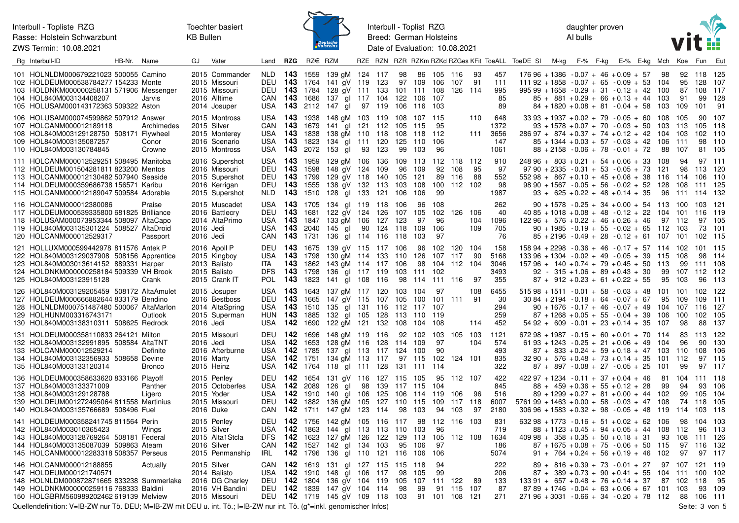Toechter basiert **KB Bullen** 



Interbull - Toplist RZG Breed: German Holsteins Date of Evaluation: 10.08.2021 daughter proven Al bulls



| Rg Interbull-ID                                                                                                                                                                                                | HB-Nr. Name |                               | GJ                         | Vater                                                                                | Land                                                                                 | <b>RZG</b>          | $RZ \in RZM$                 |                                                                                                                                                          |  |          |                           |                                                 |                                  |                  |                                    | RZE RZN RZR RZKm RZKd RZGes KFit ToeALL ToeDE SI M-kg F-% F-kg E-% E-kg Mch Koe Fun Eut                                                                |                                                                                                                                                                                                            |  |                |                         |                                                   |                            |
|----------------------------------------------------------------------------------------------------------------------------------------------------------------------------------------------------------------|-------------|-------------------------------|----------------------------|--------------------------------------------------------------------------------------|--------------------------------------------------------------------------------------|---------------------|------------------------------|----------------------------------------------------------------------------------------------------------------------------------------------------------|--|----------|---------------------------|-------------------------------------------------|----------------------------------|------------------|------------------------------------|--------------------------------------------------------------------------------------------------------------------------------------------------------|------------------------------------------------------------------------------------------------------------------------------------------------------------------------------------------------------------|--|----------------|-------------------------|---------------------------------------------------|----------------------------|
| 101 HOLNLDM000679221023 500055 Camino<br>102 HOLDEUM000538784277 154233 Monte<br>103 HOLDNKM000000258131 571906 Messenger<br>104 HOL840M003134408207<br>105 HOLUSAM000143172363 509322 Aston                   |             | Jarvis                        |                            | 2015 Commander<br>2015 Missouri<br>2015 Missouri<br>2016 Alltime<br>2014 Josuper     | DEU 143 1784                                                                         | CAN 143 1686        |                              | NLD 143 1559 139 gM 124 117<br>DEU 143 1764 141 gV 119 123<br>128 gV 111 133 101 111 108<br>137 gl 117 104 122<br>USA 143 2112 147 gl 97 119 106 116     |  | 98       | 86<br>97 109 106<br>106   | 105<br>107<br>- 103                             | - 116<br>107<br>126 114          | 93<br>-91        | 457<br>111<br>995<br>85<br>89      | $17696 + 1386 - 0.07 + 46 + 0.09 + 57$ 98<br>$11192 + 1858 - 0.07 + 65 - 0.09 + 53$ 104<br>$99599 + 1658 - 0.29 + 31 - 0.12 + 42$ 100                  | $85 + 881 + 0.29 + 66 + 0.13 + 44$ 103<br>$84 + 1820 + 0.08 + 81 - 0.04 + 58$ 103 109                                                                                                                      |  |                | 87<br>-91               | 92 118 125<br>95 128 107<br>108 117<br>101        | 99 128<br>91               |
| 106 HOLUSAM000074599862 507912 Answer<br>107 HOLCANM000012189118<br>108 HOL840M003129128750 508171 Flywheel<br>109 HOL840M003135087257<br>110 HOL840M003130784845                                              |             | Archimedes<br>Conor<br>Crowne | 2015 Silver                | 2015 Montross<br>2015 Monterey<br>2016 Scenario<br>2015 Montross                     | CAN 143<br>USA 143 1838<br>USA <b>143</b><br>USA 143 2072                            |                     | 1679                         | USA 143 1938 148 gM 103 119 108 107 115<br>141 gl 121 112 105 115<br>138 gM 110 118 108<br>1823 134 gl 111 120 125<br>153 gl 93 123                      |  | 99       | 118<br>110<br>103         | -95<br>112<br>106<br>96                         |                                  | 110<br>111       | 648<br>1372<br>3656<br>147<br>1061 | $28697 + 874 + 0.37 + 74 + 0.12 + 42$ 104 103                                                                                                          | $33\,93 + 1937 + 0.02 + 79 - 0.05 + 60$ 108 105<br>$93 + 1578 + 0.07 + 70 - 0.03 + 50$ 103 113<br>$85 + 1344 + 0.03 + 57 - 0.03 + 42$ 106 111<br>$88 + 2158 - 0.06 + 78 - 0.01 + 72$                       |  | 88 107         |                         | 90 107<br>105 118<br>102 110                      | 98 110<br>81 105           |
| 111 HOLCANM000012529251 508495 Manitoba<br>112 HOLDEUM001504281811 823200 Mentos<br>113 HOLCANM000012130482 507940 Seaside<br>114 HOLDEUM000359686738 156571 Karibu<br>115 HOLCANM000012189047 509584 Adorable |             |                               |                            | 2016 Supershot<br>2016 Missouri<br>2015 Supershot<br>2016 Kerrigan<br>2015 Supershot | USA 143 1959<br><b>DEU 143</b><br><b>DEU 143</b><br><b>DEU 143</b><br>NLD 143        |                     | 1598<br>1799<br>1555<br>1510 | 129 gM 106 136 109 113<br>148 gV 124 109<br>129 aV 118 140 105<br>138 gV 132 113 103<br>128 gl 133 121 106                                               |  | 96       | 109<br>-121<br>108<br>106 | 112<br>92<br>89<br>100<br>99                    | 118 112<br>108<br>116<br>112 102 | 95<br>88         | 910<br>97<br>552<br>98<br>1987     | $24896 + 803 + 0.21 + 54 + 0.06 + 33$ 108<br>$55298 + 867 + 0.10 + 45 + 0.08 + 38$ 116 114 106 110                                                     | $97\,90 + 2335 - 0.31 + 53 - 0.05 + 73$ 121<br>$98\,90 + 1567 - 0.05 + 56 - 0.02 + 52$ 128 108<br>$93 + 625 + 0.22 + 48 + 0.14 + 35$                                                                       |  | 96 111 114 132 | 94<br>98                | 97 111<br>113 120<br>111 125                      |                            |
| 116 HOLCANM000012380086<br>117 HOLDEUM000539335800 681825 Brilliance<br>118 HOLUSAM000073953344 508097 AltaCapo<br>119 HOL840M003135301224 508527 AltaDroid<br>120 HOLCANM000012529317                         |             | Praise<br>Passport            | 2016 Jedi<br>2016 Jedi     | 2015 Muscadet<br>2016 Battlecry<br>2014 AltaPrimo                                    | USA 143 1705<br><b>DEU 143</b><br>USA <b>143</b><br>USA 143 2040                     |                     |                              | 134 gl 119 118 106<br>1681 122 gV 124 126 107 105<br>1847 133 gM 106 127 123<br>145 gl 90 124 118<br>CAN 143 1731 136 gl 114 116 118                     |  |          | 96<br>97<br>109<br>103    | 108<br>102<br>96<br>106<br>-97                  | 126 106                          | 104<br>109       | 262<br>40<br>1096<br>705<br>76     | $12296 + 576 + 0.22 + 46 + 0.26 + 46$                                                                                                                  | $90 + 1578 - 0.25 + 34 + 0.00 + 54$ 113 100<br>$4085 + 1018 + 0.08 + 48 - 0.12 + 22$ 104 101 116 119<br>$90 + 1985 - 0.19 + 55 - 0.02 + 65$ 112 103<br>$85 + 2196 - 0.49 + 28 - 0.12 + 61$ 107 101 102 115 |  | 97 112         |                         | 103 121<br>73 101                                 | 97 105                     |
| 121 HOLLUXM000599442978 811576 Antek P<br>122 HOL840M003129037908 508156 Apprentice<br>123 HOL840M003013614152 889331 Harper<br>124 HOLDNKM000000258184 509339 VH Brook<br>125 HOL840M003123915128             |             | Crank                         |                            | 2016 Apoll P<br>2015 Kingboy<br>2013 Balisto<br>2015 Balisto<br>2015 Crank IT        | <b>USA 143</b><br>ita<br><b>DFS</b><br>POL                                           | 143<br>143<br>- 143 | 1798<br>1862<br>1798<br>1823 | DEU 143 1675 139 gV 115 117 106<br>130 gM 114 133 110<br>143 gM 114 117 106<br>136 gl 117 119 103 111 102<br>141 gl 108 116                              |  |          | 96<br>126<br>98           | 102<br>107 117<br>104 112 104<br>98 114 111 116 | 120 104                          | 90<br>97         | 158<br>5168<br>3046<br>3493<br>355 | $15894 + 2298 - 0.36 + 46 - 0.17 + 57$ 114 102 101 115<br>$133.96 + 1304 - 0.02 + 49 - 0.05 + 39$ 115 108<br>$15796 + 140 + 0.74 + 79 + 0.45 + 50$ 113 | $92 - 315 + 1.06 + 89 + 0.43 + 30$<br>$87 + 912 + 0.23 + 61 + 0.22 + 55$                                                                                                                                   |  | 95 103         | -99<br>99 107 112 112   | 111 108                                           | 98 114<br>96 113           |
| 126 HOL840M003129205459 508172 AltaAmulet<br>127 HOLDEUM000666882644 833179 Bendino<br>128 HOLNLDM000751487480 500067 AltaMarlon<br>129 HOLHUNM003316743171<br>130 HOL840M003138310311 508625 Redrock          |             | Outlook                       | 2016 Jedi                  | 2015 Josuper<br>2016 Bestboss<br>2014 AltaSpring<br>2015 Superman                    | USA 143 1643<br><b>DEU 143</b><br>USA <b>143</b><br><b>HUN 143</b><br>USA <b>142</b> |                     | 1665<br>1510<br>1885<br>1690 | 137 gM 117 120 103 104<br>147 aV 115 107 105 100<br>135 gl 131 116 112 117 107<br>132 gl 105 128 113 110<br>122 gM 121 132 108 104                       |  |          |                           | 97<br>101 111<br>- 119<br>108                   |                                  | 108<br>91<br>114 | 6455<br>30<br>294<br>259<br>452    | $51598 + 1511 - 0.01 + 58 - 0.03 + 48$ 101 101 102 122                                                                                                 | $30\,84 + 2194 - 0.18 + 64 - 0.07 + 67$<br>$90 + 1676 - 0.17 + 46 - 0.07 + 49$ 104 107 116 127<br>$87 + 1268 + 0.05 + 55 - 0.04 + 39$ 106 100<br>$5492 + 609 - 0.01 + 23 + 0.14 + 35$ 107                  |  | 95 109         | 98                      | 109 111<br>102 105<br>88                          | - 137                      |
| 131 HOLDEUM000358110833 264121 Milton<br>132 HOL840M003132991895 508584 AltaTNT<br>133 HOLCANM000012529214<br>134 HOL840M003132356933 508658 Devine<br>135 HOL840M003133120314                                 |             | Definite<br><b>Bronco</b>     | 2016 Jedi                  | 2015 Missouri<br>2016 Afterburne<br>2016 Marty<br>2015 Heinz                         | USA <b>142</b><br>USA 142 1785<br>USA <b>142</b>                                     |                     | 1653                         | DEU 142 1696 148 gM 119 116 92 102<br>128 gM 116 128 114 109<br>137 gl 113 117 124 100<br>1751 134 gM 113 117<br>USA 142 1764 118 gl 111 128 131 111 114 |  | 97 115   |                           | 103<br>97<br>90<br>102                          | 105 103<br>124 101               | 104              | 1121<br>574<br>493<br>835<br>322   | $67298 + 1987 - 0.15 + 60 + 0.01 + 70$ 114                                                                                                             | $6193 + 1243 - 0.25 + 21 + 0.06 + 49$ 104<br>$87 + 833 + 0.24 + 59 + 0.18 + 47$ 103 110<br>$32\,90 + 576 + 0.48 + 73 + 0.14 + 35$ 101 112<br>$87 + 897 - 0.08 + 27 - 0.05 + 25$ 101                        |  |                | 83<br>96<br>- 99        | 113 122<br>108 106                                | 90 130<br>97 115<br>97 117 |
| 136 HOLDEUM000358633620 833166 Playoff<br>137 HOL840M003133371009<br>138 HOL840M003129128788<br>139 HOLDEUM001272495064 811558 Martinius<br>140 HOL840M003135766689 508496 Fuel                                |             | Panther<br>Ligero             | 2016 Duke                  | 2015 Penley<br>2015 Octoberfes<br>2015 Yoder<br>2015 Missouri                        | DEU 142 1654<br>USA 142 2089<br>USA 142 1910                                         |                     |                              | 131 aV 116 127 115 105<br>126 gl 98 139 117 115<br>140 gl 106 125 106 114<br>DEU 142 1882 136 gM 105 127 110 115<br>CAN 142 1711 147 gM 123 114          |  | 98 103   |                           | 95<br>104<br>119<br>109<br>94                   | 112 107<br>106<br>117 118<br>103 | 96<br>97         | 422<br>845<br>516<br>6007<br>2180  | $42297 + 1234 - 0.11 + 37 + 0.04 + 46$<br>$576199 + 1463 + 0.00 + 58 - 0.03 + 47$ 108<br>$30696 + 1583 + 0.32 + 98 - 0.05 + 48$ 119 114 103 118        | $88 + 459 + 0.36 + 55 + 0.12 + 28$<br>$89 + 1299 + 0.27 + 81 + 0.00 + 44$ 102                                                                                                                              |  | -81<br>99      | 104 111 118<br>94<br>99 | 105 104<br>74 118 105                             | 93 106                     |
| 141 HOLDEUM000358241745 811564 Perin<br>142 HOL840M003010365423<br>143 HOL840M003128769264 508181 Federal<br>144 HOL840M003135087039 509863 Ateam<br>145 HOLCANM000012283318 508357 Perseus                    |             | Wings                         | 2015 Silver<br>2016 Silver | 2015 Penley<br>2015 Alta1Stcla<br>2015 Penmanship                                    | DEU 142 1756<br>USA <b>142</b><br>DFS 142<br>CAN 142<br>IRL                          | <b>142</b> 1796     | 1863<br>1623                 | 142 gM 105 116 117<br>144 gl 113 113 110<br>127 gM 126 122 129 113<br>1527 142 gl 134 103<br>136 gl 110 121 116 106                                      |  | 95       | 98<br>103<br>106          | 112 116 103<br>96<br>97<br>106                  | 105 112 108                      |                  | 831<br>719<br>1634<br>186<br>5074  | $63298 + 1773 - 0.16 + 51 + 0.02 + 62$ 106<br>$409\,98 + 358 + 0.35 + 50 + 0.18 + 31$ 93                                                               | $88 + 1123 + 0.45 + 94 + 0.05 + 44$ 108 112<br>$87 + 1675 + 0.08 + 75 - 0.06 + 50$ 115<br>$91 + 764 + 0.24 + 56 + 0.19 + 46$ 102                                                                           |  |                | 98<br>108<br>97<br>- 97 | 104 103<br>96 113<br>111 126<br>116 132<br>97 117 |                            |
| 146 HOLCANM000012188855<br>147 HOLDEUM000121740571<br>148 HOLNLDM000872871665 833238 Summerlake<br>149 HOLDNKM000000259116 768333 Baldini<br>150 HOLGBRM560989202462 619139 Melview                            |             | Actually                      |                            | 2015 Silver<br>2014 Balisto<br>2016 DG Charley<br>2016 VH Bandini<br>2015 Missouri   | CAN 142 1619<br>USA 142 1910<br><b>DEU 142</b>                                       |                     | 1804                         | 131 gl 127 115 115<br>148 gl 106 117<br>136 gV 104 119 105<br>DEU 142 1839 147 gV 104 114<br>DEU 142 1719 145 gV 109 118 103                             |  | 98<br>98 | - 118<br>105<br>107<br>99 | 94<br>99<br>111 122<br>91<br>91 101 108 121     | 115 107                          | 89               | 222<br>206<br>133<br>-87<br>271    | $133\,91 + 657 + 0.48 + 76 + 0.14 + 37$<br>$27196 + 3031 - 0.66 + 34 - 0.20 + 78$ 112 88 106 111                                                       | $89 + 816 + 0.39 + 73 - 0.01 + 27$ 97 107 121<br>$87 + 389 + 0.73 + 90 + 0.41 + 55$ 104 111<br>$8789 + 1746 - 0.04 + 63 + 0.06 + 67$ 101 103                                                               |  | 87 102         |                         | 100 102<br>- 118<br>93 109                        | 119<br>95                  |

Quellendefinition: V=IB-ZW nur Tö. DEU; M=IB-ZW mit DEU u. int. Tö.; I=IB-ZW nur int. Tö. (g\*=inkl. genomischer Infos)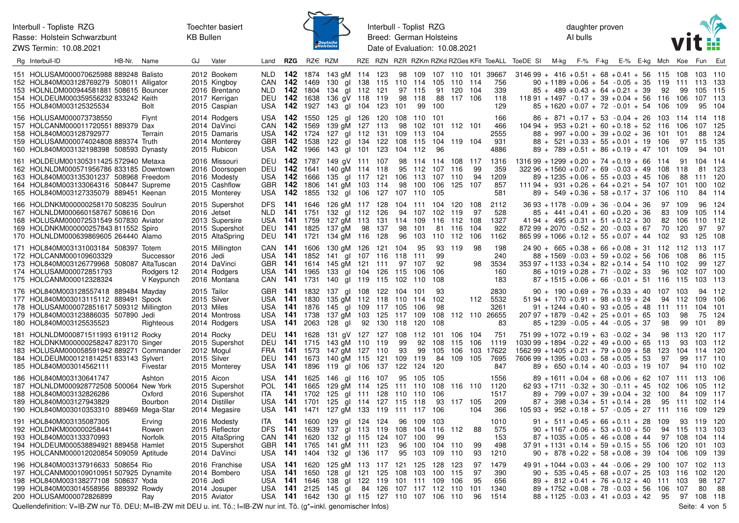

Interbull - Toplist RZG Breed: German Holsteins Date of Evaluation: 10.08.2021 daughter proven Al bulls



| Rg Interbull-ID                                                                                                                                                                                               | HB-Nr. Name |                                       | GJ        | Vater                                                                                | Land                                                      | RZG                               | $RZ \in RZM$                                 |                                                                                                                                     |                    |                    |                                  |                                     |                                 |                                                     |                             |                                                | RZE RZN RZR RZKm RZKd RZGes KFit ToeALL ToeDE SI M-kg F-% F-kg E-% E-kg Mch Koe                                                                                                 |                                                                                                                                                                                                                            |  |                          |                                   | Fun                                     | Eut                                      |
|---------------------------------------------------------------------------------------------------------------------------------------------------------------------------------------------------------------|-------------|---------------------------------------|-----------|--------------------------------------------------------------------------------------|-----------------------------------------------------------|-----------------------------------|----------------------------------------------|-------------------------------------------------------------------------------------------------------------------------------------|--------------------|--------------------|----------------------------------|-------------------------------------|---------------------------------|-----------------------------------------------------|-----------------------------|------------------------------------------------|---------------------------------------------------------------------------------------------------------------------------------------------------------------------------------|----------------------------------------------------------------------------------------------------------------------------------------------------------------------------------------------------------------------------|--|--------------------------|-----------------------------------|-----------------------------------------|------------------------------------------|
| 151 HOLUSAM000070625988 889248 Balisto<br>152 HOL840M003128769279 508011 Alligator<br>153 HOLNLDM000944581881 508615 Bouncer<br>154 HOLDEUM000359556232 833242 Keith<br>155 HOL840M003125325534               |             | Bolt                                  |           | 2012 Bookem<br>2015 Kingboy<br>2016 Brentano<br>2017 Kerrigan<br>2015 Caspian        | CAN 142<br>NLD.<br>DEU 142<br>USA 142                     | - 142                             | 1469<br>1804<br>1638<br>1927                 | NLD 142 1874 143 gM 114 123<br>130 gl 138 115<br>134 gl 112 121<br>136 aV 118 119<br>143 gl 104 123                                 |                    |                    | 98<br>110 114<br>97<br>98<br>101 | -115<br>118<br>99                   | 105<br>91<br>100                | 109 107 110 101<br>110 114<br>120 104<br>88 117 106 |                             | 39667<br>756<br>339<br>118<br>129              | $314699 + 416 + 0.51 + 68 + 0.41 + 56$ 115 108<br>$11891 + 1497 - 0.17 + 39 + 0.04 + 56$ 116 106                                                                                | $90 + 1189 + 0.06 + 54 - 0.05 + 35$ 119 111<br>$85 + 489 + 0.43 + 64 + 0.21 + 39$<br>$85 + 1620 + 0.07 + 72 - 0.01 + 54$ 106                                                                                               |  | -92                      | -99<br>109                        | 103 110<br>113<br>105<br>107<br>95      | -133<br>- 115<br>- 113<br>104            |
| 156 HOLUSAM000073738550<br>157 HOLCANM000011720551 889379 Dax<br>158 HOL840M003128792977<br>159 HOLUSAM000074024808 889374 Truth<br>160 HOL840M003132198398 508593 Dynasty                                    |             | Flynt<br>Terrain                      |           | 2014 Rodgers<br>2014 DaVinci<br>2015 Damaris<br>2014 Monterey<br>2015 Rubicon        | USA<br>CAN<br><b>USA</b><br>GBR 142<br>USA <b>142</b>     | - 142<br>142<br>142               | 1550<br>1569<br>1724<br>1538<br>1966         | 125 gl 126 120<br>139 gM 127 113<br>127 gl 112<br>122 gl 134 122<br>143 al 101 123                                                  |                    | 131                | 108<br>98<br>109<br>108<br>104   | 110 101<br>102<br>113<br>115<br>112 | 101<br>104<br>104<br>96         | 112 101<br>119 104                                  |                             | 166<br>466<br>2555<br>931<br>4886              | $104.94 + 953 + 0.21 + 60 + 0.18 + 52$ 116                                                                                                                                      | $86 + 871 + 0.17 + 53 - 0.04 + 26$ 103 114<br>$88 + 997 + 0.00 + 39 + 0.02 + 36$ 101<br>$88 + 521 + 0.33 + 55 + 0.01 + 19$ 106<br>$89 + 789 + 0.51 + 86 + 0.19 + 47$ 101                                                   |  |                          | 106<br>101<br>97<br>109           | 114 118<br>107<br>88<br>115<br>94       | -125<br>124<br>-135<br>101               |
| 161 HOLDEUM001305311425 572940 Metaxa<br>162 HOLNLDM000571956786 833185 Downtown<br>163 HOL840M003135301237 508968 Freedom<br>164 HOL840M003133064316 508447 Supreme<br>165 HOL840M003127335079 889451 Keenan |             |                                       |           | 2016 Missouri<br>2016 Doorsopen<br>2016 Modesty<br>2015 Cashflow<br>2015 Monterey    | <b>DEU 142</b><br>USA.<br>GBR 142<br>USA 142              | - 142                             | DEU 142 1787<br>1641<br>1666<br>1806<br>1855 | 149 gV 111 107<br>140 gM 114 118<br>135 gl 117 121<br>141 gM 103 114<br>132 gl 106 127 107                                          |                    |                    | 98<br>95<br>106<br>98            | 112<br>113<br>100<br>110            | 107<br>107<br>106<br>105        | 114 114 108 117<br>116<br>110<br>125                | 99<br>94<br>107             | 1316<br>359<br>1209<br>857<br>581              | $131699 + 1299 + 0.20 + 74 + 0.19 + 66$ 114<br>$32296 + 1560 + 0.07 + 69 - 0.03 + 49$ 108<br>$11194 + 931 + 0.26 + 64 + 0.21 + 54$ 107 101                                      | $89 + 1235 + 0.06 + 55 + 0.03 + 45$ 106<br>$89 + 549 + 0.36 + 58 + 0.17 + 37$ 106 110                                                                                                                                      |  |                          | 91<br>-118<br>88                  | 104 114<br>81<br>111<br>100<br>84       | - 123<br>120<br>102<br>114               |
| 166 HOLDNKM000000258170 508235 Soulrun<br>167 HOLNLDM000660158767 508616 Don<br>168 HOLUSAM000072531549 507830 Aviator<br>169 HOLDNKM000000257843 811552 Spiro<br>170 HOLNLDM000639869605 264440 Alamo        |             |                                       |           | 2015 Supershot<br>2016 Jetset<br>2013 Supersire<br>2015 Supershot<br>2015 AltaSpring | DFS.<br>NLD.<br>USA<br><b>DEU 141</b>                     | - 141<br><b>141</b> 1751<br>- 141 | 1646<br>1759<br>1825                         | 126 gM 117 128 104<br>132 gl 112 126<br>127 gM 113 131<br>137 gM<br>DEU 141 1721 134 gM 116 128                                     | 98 137             |                    | 94<br>114 109<br>98<br>96        | - 111<br>107<br>101<br>103          | 102<br>116<br>81<br>110 112     | 104 120 108<br>119<br>112<br>116                    | 97<br>108<br>104<br>106     | 2112<br>528<br>1327<br>922<br>1162             | $41\,94 + 495 + 0.31 + 51 + 0.12 + 30$<br>$87299 + 2070 - 0.52 + 20 - 0.03 + 67$<br>$86599 + 1066 + 0.12 + 55 + 0.07 + 44$ 102                                                  | $3693 + 1178 - 0.09 + 36 - 0.04 + 36$<br>$85 + 441 + 0.41 + 60 + 0.20 + 36$                                                                                                                                                |  | 97 109<br>83<br>82<br>70 | 109<br>106<br>120<br>93           | 96<br>105<br>110<br>97<br>125           | - 124<br>- 114<br>- 112<br>97<br>-108    |
| 171 HOL840M003131003184 508397 Totem<br>172 HOLCANM000109603329<br>173 HOL840M003126779968 508087 AltaTuscan<br>174 HOLUSAM000072851793<br>175 HOLCANM000012328324                                            |             | Successor<br>Rodgers 12<br>V Keypunch | 2016 Jedi | 2015 Millington<br>2014 DaVinci<br>2014 Rodgers<br>2016 Montana                      | CAN 141<br>USA.<br>GBR 141<br>USA 141                     | - 141<br>CAN 141                  | 1606<br>1852<br>1614<br>1965<br>1731         | 130 gM 126 121<br>141 gl 107 116<br>145 gM 121 111<br>133 gl 104 126 115<br>140 gl 119 115                                          |                    |                    | 104<br>118<br>97<br>102          | 95<br>111<br>107<br>106<br>110      | 93<br>99<br>92<br>106<br>108    | 119                                                 | 98<br>98                    | 198<br>240<br>3534<br>160<br>183               | $353\,97 + 1133 + 0.34 + 82 + 0.14 + 54$ 110                                                                                                                                    | $2490 + 665 + 0.38 + 66 + 0.08 + 31$ 112 112<br>$88 + 1569 - 0.03 + 59 + 0.02 + 56$ 106<br>$86 + 1019 + 0.28 + 71 - 0.02 + 33$<br>$87 + 1515 + 0.06 + 66 - 0.01 + 51$ 116 115                                              |  | 96 102                   | -108<br>102                       | 113<br>86<br>99<br>107 100<br>103       | - 117<br>-115<br>-127<br>- 113           |
| 176 HOL840M003128557418 889484 Mayday<br>177 HOL840M003013115112 889491 Spock<br>178 HOLUSAM000072851617 509312 Millington<br>179 HOL840M003123886035 507890 Jedi<br>180 HOL840M003125535523                  |             | Righteous                             |           | 2015 Tailor<br>2015 Silver<br>2013 Miles<br>2014 Montross<br>2014 Rodgers            | GBR 141<br>USA <b>141</b><br>USA<br>USA <b>141</b>        | USA 141<br>- 141                  | 1832<br>1830<br>1876<br>1738<br>2063         | 137 gl 108 122<br>135 gM 112 118<br>145 gl 109 117 105<br>137 gM 103 125<br>128 gl                                                  |                    | 92 130 118         | 104<br>110<br>117                | -101<br>114<br>106<br>109<br>120    | 93<br>102<br>98<br>108<br>108   |                                                     | 112                         | 2830<br>5532<br>3261<br>112 110 26655<br>83    | $20797 + 1879 - 0.42 + 25 + 0.01 + 65$ 103                                                                                                                                      | $90 + 190 + 0.69 + 76 + 0.33 + 40$ 107 103<br>$51\,94 + 170 + 0.91 + 98 + 0.19 + 24$<br>$91 + 1244 + 0.40 + 93 + 0.05 + 48$ 111 111<br>$85 + 1239 - 0.05 + 44 - 0.05 + 37$                                                 |  | - 98                     | 94 112<br>98<br>99                | 109<br>104<br>75<br>101                 | 94 112<br>106<br>- 101<br>-124<br>-89    |
| 181 HOLNLDM000871511993 619112 Rocky<br>182 HOLDNKM000000258247 823170 Singer<br>183 HOLUSAM000058591942 889271 Commander<br>184 HOLDEUM000121814251 833143 Sylvert<br>185 HOL840M003014562111                |             | Fivestar                              |           | 2014 Rocky<br>2015 Supershot<br>2012 Mogul<br>2015 Silver<br>2015 Monterey           | DEU 141<br><b>DEU 141</b><br>FRA<br><b>DEU 141</b><br>USA | - 141<br>- 141                    | 1628<br>1715<br>1573<br>1673<br>1896         | 131 gV 127 127<br>143 gM 110 119<br>147 gM 127 110<br>140 gM 115 121<br>119 gl 106 137                                              |                    |                    | 108<br>99<br>93<br>109<br>122    | 112<br>92<br>99<br>119<br>124       | 101<br>108<br>105<br>84<br>120  | 106 104<br>115<br>106<br>109 105                    | 106<br>103                  | 751<br>1119<br>17622<br>7695<br>847            | $75199 + 1072 + 0.19 + 63 - 0.02 + 34$<br>$103099 + 1894 - 0.22 + 49 + 0.00 + 65$ 113<br>$156299 + 1405 + 0.21 + 79 + 0.09 + 58$ 123<br>$760699 + 1395 + 0.03 + 58 + 0.05 + 53$ | $89 + 650 + 0.14 + 40 - 0.03 + 19$ 107                                                                                                                                                                                     |  | 98 113<br>97             | 93<br>104<br>99<br>94             | 120<br>103<br>114 120<br>117 110<br>110 | - 117<br>- 112<br>102                    |
| 186 HOL840M003130641747<br>187 HOLNLDM000928772508 500064 New York<br>188 HOL840M003132826286<br>189 HOL840M003127943829<br>190 HOL840M003010353310 889469 Mega-Star                                          |             | Ashton<br>Oxford<br>Bourbon           |           | 2015 Aicon<br>2015 Supershot<br>2016 Supershot<br>2014 Distiller<br>2014 Megasire    | USA <b>141</b><br>POL 141<br>ITA<br>USA                   | 141<br>- 141                      | 1625<br>1665<br>1702<br>1701                 | 146 gl 116 107<br>129 gM 114 125 111 110<br>125 gl 111 128 110 110<br>125 gl 114 127 115<br>USA 141 1471 127 gM 133 119 111 117 106 |                    |                    | 95                               | - 105<br>118                        | - 105<br>106<br>93              | 117 105                                             | 104                         | 1556<br>108 116 110 1120<br>1517<br>209<br>366 | $105\,93 + 952 + 0.18 + 57 - 0.05 + 27$ 111 116                                                                                                                                 | $89 + 1611 + 0.04 + 68 + 0.06 + 62$ 107 111<br>$6293 + 1711 - 0.32 + 30 - 0.11 + 45$ 102<br>$89 + 799 + 0.07 + 39 + 0.04 + 32$ 100<br>$87 + 398 + 0.34 + 51 + 0.14 + 28$                                                   |  | 95                       | 106<br>84<br>111                  | 113<br>105<br>109<br>102<br>109         | - 106<br>- 112<br>- 117<br>-114<br>- 129 |
| 191 HOL840M003135087305<br>192 HOLDNKM000000258441<br>193 HOL840M003133370993<br>194 HOLDEUM000538894921 889458 Hamlet<br>195 HOLCANM000012020854 509059 Aptitude                                             |             | Erving<br>Rowen<br>Norfolk            |           | 2016 Modesty<br>2015 Reflector<br>2015 AltaSpring<br>2015 Supershot<br>2014 DaVinci  | ITA<br>DFS.<br>CAN 141<br>USA                             | 141<br>- 141<br>GBR 141<br>- 141  | 1600<br>1639<br>1620<br>1765<br>1404         | 129 gl 124 124<br>137 gl 113 119<br>132 gl 115 124<br>141 gM 111 123<br>132 gl 136 117                                              |                    |                    | 96<br>108<br>107<br>96<br>95     | 109<br>104<br>100<br>100<br>103     | -103<br>116<br>99<br>104<br>109 | 112<br>110<br>110                                   | 88<br>99<br>93              | 1010<br>575<br>153<br>498<br>1210              | $37\,91$ + 1131 + 0.14 + 59 + 0.15 + 55 106                                                                                                                                     | $91 + 511 + 0.45 + 66 + 0.11 + 28$ 109<br>$90 + 1167 + 0.06 + 53 + 0.10 + 50$<br>$87 + 1035 + 0.05 + 46 + 0.08 + 44$<br>$90 + 878 + 0.22 + 58 + 0.08 + 39$ 104                                                             |  | 97                       | 93<br>94 115<br>108<br>120<br>106 | 119<br>113<br>104<br>101<br>109         | - 120<br>-103<br>114<br>103<br>139       |
| 196 HOL840M003137916633 508654 Rio<br>197 HOLCANM000109010951 507925 Dynamite<br>198 HOL840M003138277108 508637 Yoda<br>199 HOL840M003014558956 889392 Rowdy<br>200 HOLUSAM000072826899                       |             | Ray                                   | 2016 Jedi | 2016 Franchise<br>2014 Bombero<br>2014 Josuper<br>2015 Aviator                       | USA <b>141</b><br>USA <b>141</b><br>USA <b>141</b><br>USA | 141 2125                          | 1620<br>1650<br>1646                         | 125 gM 113 117 121<br>128 gl<br>138<br>al<br>145<br>gl<br>USA 141 1642 130 gl 115 127 110 107 106                                   | 121 125<br>122 119 | 84 126 107 117 112 | 108<br>101 111                   | 125<br>103                          | 128<br>100<br>109               | 123<br>115<br>106<br>110<br>110                     | 97<br>97<br>95<br>101<br>96 | 1479<br>390<br>656<br>1340<br>1514             |                                                                                                                                                                                 | $4991 + 1044 + 0.03 + 44 - 0.06 + 29$ 100 107<br>$90 + 535 + 0.45 + 68 + 0.07 + 25$ 103<br>$89 + 812 + 0.41 + 76 + 0.12 + 40$ 111 103<br>$89 + 1752 + 0.08 + 78 - 0.03 + 56$ 106<br>$88 + 1125 - 0.03 + 41 + 0.03 + 42$ 95 |  |                          | 116<br>107<br>97 108              | 102 <sub>2</sub><br>102<br>98<br>80     | -113<br>120<br>127<br>88<br>- 118        |

Quellendefinition: V=IB-ZW nur Tö. DEU; M=IB-ZW mit DEU u. int. Tö.; I=IB-ZW nur int. Tö. (g\*=inkl. genomischer Infos)